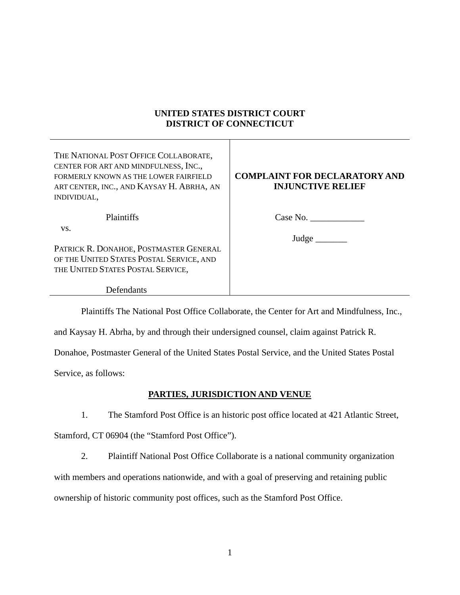# **UNITED STATES DISTRICT COURT DISTRICT OF CONNECTICUT**

Τ

| THE NATIONAL POST OFFICE COLLABORATE,<br>CENTER FOR ART AND MINDFULNESS, INC.,<br>FORMERLY KNOWN AS THE LOWER FAIRFIELD<br>ART CENTER, INC., AND KAYSAY H. ABRHA, AN<br>INDIVIDUAL, | <b>COMPLAINT FOR DECLARATORY AND</b><br><b>INJUNCTIVE RELIEF</b> |
|-------------------------------------------------------------------------------------------------------------------------------------------------------------------------------------|------------------------------------------------------------------|
| Plaintiffs                                                                                                                                                                          | Case No.                                                         |
| VS.<br>PATRICK R. DONAHOE, POSTMASTER GENERAL<br>OF THE UNITED STATES POSTAL SERVICE, AND<br>THE UNITED STATES POSTAL SERVICE,                                                      | Judge                                                            |
| Defendants                                                                                                                                                                          |                                                                  |

Plaintiffs The National Post Office Collaborate, the Center for Art and Mindfulness, Inc.,

and Kaysay H. Abrha, by and through their undersigned counsel, claim against Patrick R.

Donahoe, Postmaster General of the United States Postal Service, and the United States Postal

Service, as follows:

### **PARTIES, JURISDICTION AND VENUE**

1. The Stamford Post Office is an historic post office located at 421 Atlantic Street,

Stamford, CT 06904 (the "Stamford Post Office").

2. Plaintiff National Post Office Collaborate is a national community organization

with members and operations nationwide, and with a goal of preserving and retaining public

ownership of historic community post offices, such as the Stamford Post Office.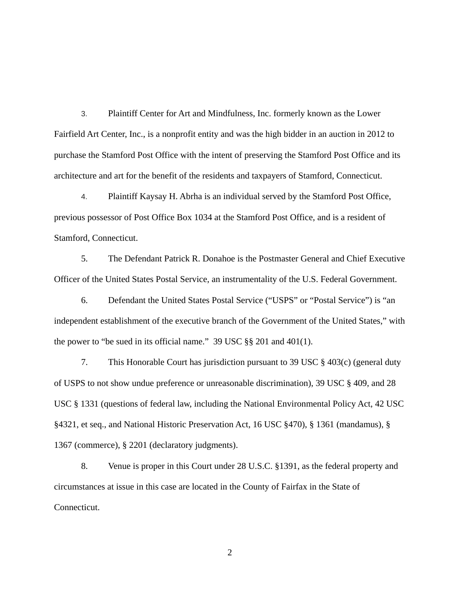3. Plaintiff Center for Art and Mindfulness, Inc. formerly known as the Lower Fairfield Art Center, Inc., is a nonprofit entity and was the high bidder in an auction in 2012 to purchase the Stamford Post Office with the intent of preserving the Stamford Post Office and its architecture and art for the benefit of the residents and taxpayers of Stamford, Connecticut.

4. Plaintiff Kaysay H. Abrha is an individual served by the Stamford Post Office, previous possessor of Post Office Box 1034 at the Stamford Post Office, and is a resident of Stamford, Connecticut.

5. The Defendant Patrick R. Donahoe is the Postmaster General and Chief Executive Officer of the United States Postal Service, an instrumentality of the U.S. Federal Government.

6. Defendant the United States Postal Service ("USPS" or "Postal Service") is "an independent establishment of the executive branch of the Government of the United States," with the power to "be sued in its official name." 39 USC §§ 201 and 401(1).

7. This Honorable Court has jurisdiction pursuant to 39 USC § 403(c) (general duty of USPS to not show undue preference or unreasonable discrimination), 39 USC § 409, and 28 USC § 1331 (questions of federal law, including the National Environmental Policy Act, 42 USC §4321, et seq., and National Historic Preservation Act, 16 USC §470), § 1361 (mandamus), § 1367 (commerce), § 2201 (declaratory judgments).

8. Venue is proper in this Court under 28 U.S.C. §1391, as the federal property and circumstances at issue in this case are located in the County of Fairfax in the State of Connecticut.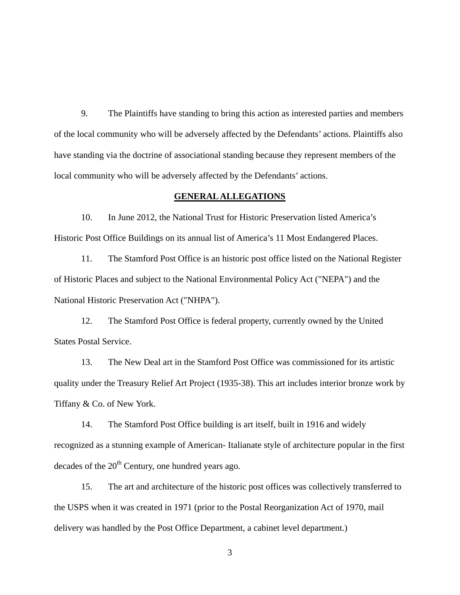9. The Plaintiffs have standing to bring this action as interested parties and members of the local community who will be adversely affected by the Defendants' actions. Plaintiffs also have standing via the doctrine of associational standing because they represent members of the local community who will be adversely affected by the Defendants' actions.

#### **GENERAL ALLEGATIONS**

10. In June 2012, the National Trust for Historic Preservation listed America's Historic Post Office Buildings on its annual list of America's 11 Most Endangered Places.

11. The Stamford Post Office is an historic post office listed on the National Register of Historic Places and subject to the National Environmental Policy Act ("NEPA") and the National Historic Preservation Act ("NHPA").

12. The Stamford Post Office is federal property, currently owned by the United States Postal Service.

13. The New Deal art in the Stamford Post Office was commissioned for its artistic quality under the Treasury Relief Art Project (1935-38). This art includes interior bronze work by Tiffany & Co. of New York.

14. The Stamford Post Office building is art itself, built in 1916 and widely recognized as a stunning example of American- Italianate style of architecture popular in the first decades of the  $20<sup>th</sup>$  Century, one hundred years ago.

15. The art and architecture of the historic post offices was collectively transferred to the USPS when it was created in 1971 (prior to the Postal Reorganization Act of 1970, mail delivery was handled by the Post Office Department, a cabinet level department.)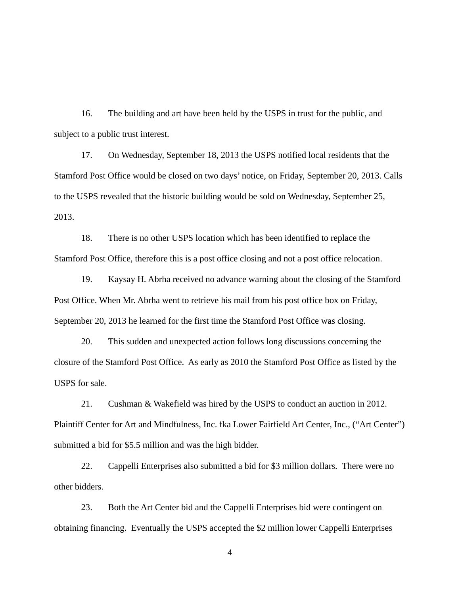16. The building and art have been held by the USPS in trust for the public, and subject to a public trust interest.

17. On Wednesday, September 18, 2013 the USPS notified local residents that the Stamford Post Office would be closed on two days' notice, on Friday, September 20, 2013. Calls to the USPS revealed that the historic building would be sold on Wednesday, September 25, 2013.

18. There is no other USPS location which has been identified to replace the Stamford Post Office, therefore this is a post office closing and not a post office relocation.

19. Kaysay H. Abrha received no advance warning about the closing of the Stamford Post Office. When Mr. Abrha went to retrieve his mail from his post office box on Friday, September 20, 2013 he learned for the first time the Stamford Post Office was closing.

20. This sudden and unexpected action follows long discussions concerning the closure of the Stamford Post Office. As early as 2010 the Stamford Post Office as listed by the USPS for sale.

21. Cushman & Wakefield was hired by the USPS to conduct an auction in 2012. Plaintiff Center for Art and Mindfulness, Inc. fka Lower Fairfield Art Center, Inc., ("Art Center") submitted a bid for \$5.5 million and was the high bidder.

22. Cappelli Enterprises also submitted a bid for \$3 million dollars. There were no other bidders.

23. Both the Art Center bid and the Cappelli Enterprises bid were contingent on obtaining financing. Eventually the USPS accepted the \$2 million lower Cappelli Enterprises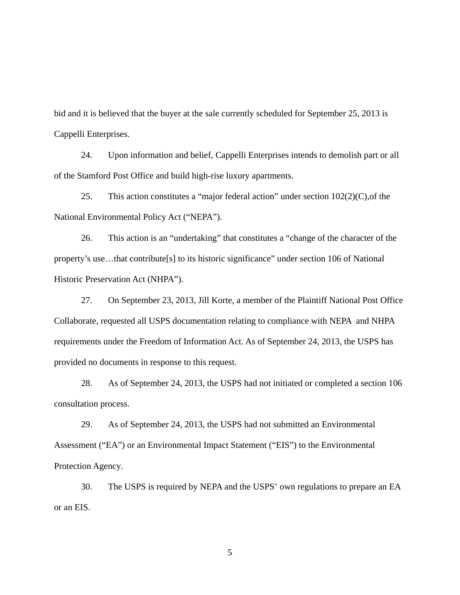bid and it is believed that the buyer at the sale currently scheduled for September 25, 2013 is Cappelli Enterprises.

24. Upon information and belief, Cappelli Enterprises intends to demolish part or all of the Stamford Post Office and build high-rise luxury apartments.

25. This action constitutes a "major federal action" under section 102(2)(C),of the National Environmental Policy Act ("NEPA").

26. This action is an "undertaking" that constitutes a "change of the character of the property's use…that contribute[s] to its historic significance" under section 106 of National Historic Preservation Act (NHPA").

27. On September 23, 2013, Jill Korte, a member of the Plaintiff National Post Office Collaborate, requested all USPS documentation relating to compliance with NEPA and NHPA requirements under the Freedom of Information Act. As of September 24, 2013, the USPS has provided no documents in response to this request.

28. As of September 24, 2013, the USPS had not initiated or completed a section 106 consultation process.

29. As of September 24, 2013, the USPS had not submitted an Environmental Assessment ("EA") or an Environmental Impact Statement ("EIS") to the Environmental Protection Agency.

30. The USPS is required by NEPA and the USPS' own regulations to prepare an EA or an EIS.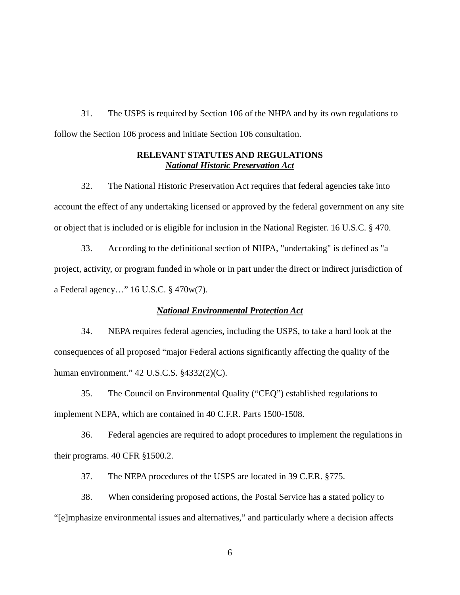31. The USPS is required by Section 106 of the NHPA and by its own regulations to follow the Section 106 process and initiate Section 106 consultation.

### **RELEVANT STATUTES AND REGULATIONS**  *National Historic Preservation Act*

32. The National Historic Preservation Act requires that federal agencies take into account the effect of any undertaking licensed or approved by the federal government on any site or object that is included or is eligible for inclusion in the National Register. 16 U.S.C. § 470.

33. According to the definitional section of NHPA, "undertaking" is defined as "a project, activity, or program funded in whole or in part under the direct or indirect jurisdiction of a Federal agency…" 16 U.S.C. § 470w(7).

### *National Environmental Protection Act*

34. NEPA requires federal agencies, including the USPS, to take a hard look at the consequences of all proposed "major Federal actions significantly affecting the quality of the human environment." 42 U.S.C.S. §4332(2)(C).

35. The Council on Environmental Quality ("CEQ") established regulations to implement NEPA, which are contained in 40 C.F.R. Parts 1500-1508.

36. Federal agencies are required to adopt procedures to implement the regulations in their programs. 40 CFR §1500.2.

37. The NEPA procedures of the USPS are located in 39 C.F.R. §775.

38. When considering proposed actions, the Postal Service has a stated policy to "[e]mphasize environmental issues and alternatives," and particularly where a decision affects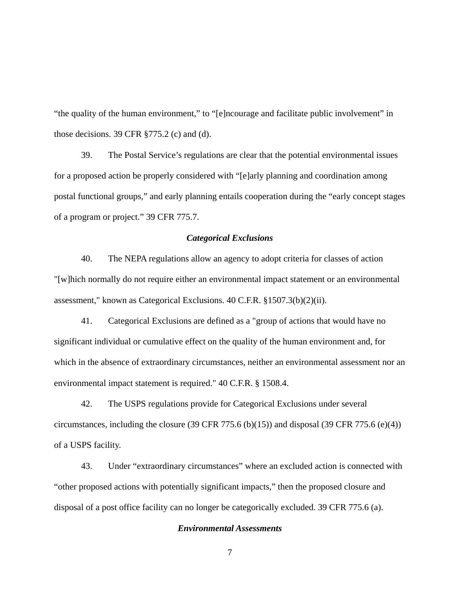"the quality of the human environment," to "[e]ncourage and facilitate public involvement" in those decisions. 39 CFR  $\S 775.2$  (c) and (d).

39. The Postal Service's regulations are clear that the potential environmental issues for a proposed action be properly considered with "[e]arly planning and coordination among postal functional groups," and early planning entails cooperation during the "early concept stages of a program or project." 39 CFR 775.7.

### *Categorical Exclusions*

40. The NEPA regulations allow an agency to adopt criteria for classes of action "[w]hich normally do not require either an environmental impact statement or an environmental assessment," known as Categorical Exclusions. 40 C.F.R. §1507.3(b)(2)(ii).

41. Categorical Exclusions are defined as a "group of actions that would have no significant individual or cumulative effect on the quality of the human environment and, for which in the absence of extraordinary circumstances, neither an environmental assessment nor an environmental impact statement is required." 40 C.F.R. § 1508.4.

42. The USPS regulations provide for Categorical Exclusions under several circumstances, including the closure (39 CFR 775.6 (b)(15)) and disposal (39 CFR 775.6 (e)(4)) of a USPS facility.

43. Under "extraordinary circumstances" where an excluded action is connected with "other proposed actions with potentially significant impacts," then the proposed closure and disposal of a post office facility can no longer be categorically excluded. 39 CFR 775.6 (a).

### *Environmental Assessments*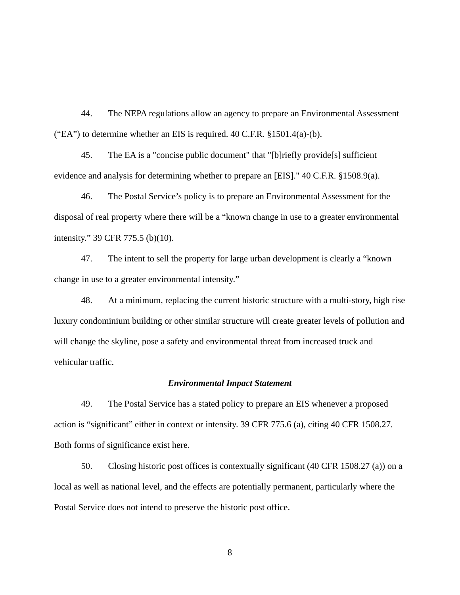44. The NEPA regulations allow an agency to prepare an Environmental Assessment ("EA") to determine whether an EIS is required. 40 C.F.R. §1501.4(a)-(b).

45. The EA is a "concise public document" that "[b]riefly provide[s] sufficient evidence and analysis for determining whether to prepare an [EIS]." 40 C.F.R. §1508.9(a).

46. The Postal Service's policy is to prepare an Environmental Assessment for the disposal of real property where there will be a "known change in use to a greater environmental intensity." 39 CFR 775.5 (b)(10).

47. The intent to sell the property for large urban development is clearly a "known change in use to a greater environmental intensity."

48. At a minimum, replacing the current historic structure with a multi-story, high rise luxury condominium building or other similar structure will create greater levels of pollution and will change the skyline, pose a safety and environmental threat from increased truck and vehicular traffic.

#### *Environmental Impact Statement*

49. The Postal Service has a stated policy to prepare an EIS whenever a proposed action is "significant" either in context or intensity. 39 CFR 775.6 (a), citing 40 CFR 1508.27. Both forms of significance exist here.

50. Closing historic post offices is contextually significant (40 CFR 1508.27 (a)) on a local as well as national level, and the effects are potentially permanent, particularly where the Postal Service does not intend to preserve the historic post office.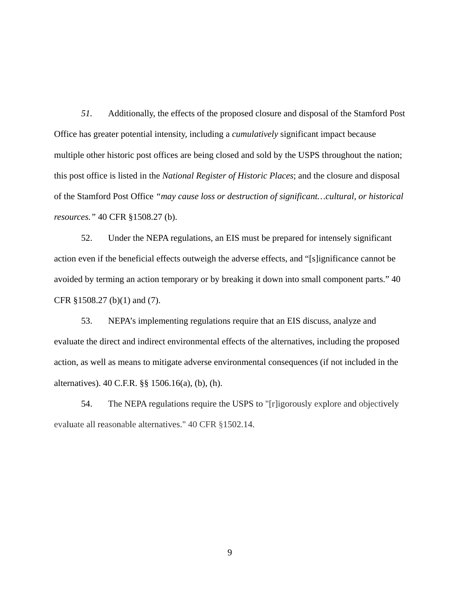*51.* Additionally, the effects of the proposed closure and disposal of the Stamford Post Office has greater potential intensity, including a *cumulatively* significant impact because multiple other historic post offices are being closed and sold by the USPS throughout the nation; this post office is listed in the *National Register of Historic Places*; and the closure and disposal of the Stamford Post Office *"may cause loss or destruction of significant…cultural, or historical resources."* 40 CFR §1508.27 (b).

52. Under the NEPA regulations, an EIS must be prepared for intensely significant action even if the beneficial effects outweigh the adverse effects, and "[s]ignificance cannot be avoided by terming an action temporary or by breaking it down into small component parts." 40 CFR §1508.27 (b)(1) and (7).

53. NEPA's implementing regulations require that an EIS discuss, analyze and evaluate the direct and indirect environmental effects of the alternatives, including the proposed action, as well as means to mitigate adverse environmental consequences (if not included in the alternatives). 40 C.F.R. §§ 1506.16(a), (b), (h).

54. The NEPA regulations require the USPS to "[r]igorously explore and objectively evaluate all reasonable alternatives." 40 CFR §1502.14.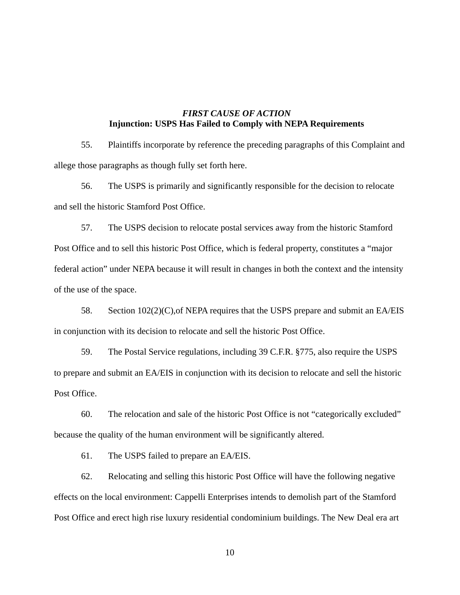# *FIRST CAUSE OF ACTION*  **Injunction: USPS Has Failed to Comply with NEPA Requirements**

55. Plaintiffs incorporate by reference the preceding paragraphs of this Complaint and allege those paragraphs as though fully set forth here.

56. The USPS is primarily and significantly responsible for the decision to relocate and sell the historic Stamford Post Office.

57. The USPS decision to relocate postal services away from the historic Stamford Post Office and to sell this historic Post Office, which is federal property, constitutes a "major federal action" under NEPA because it will result in changes in both the context and the intensity of the use of the space.

58. Section 102(2)(C),of NEPA requires that the USPS prepare and submit an EA/EIS in conjunction with its decision to relocate and sell the historic Post Office.

59. The Postal Service regulations, including 39 C.F.R. §775, also require the USPS to prepare and submit an EA/EIS in conjunction with its decision to relocate and sell the historic Post Office.

60. The relocation and sale of the historic Post Office is not "categorically excluded" because the quality of the human environment will be significantly altered.

61. The USPS failed to prepare an EA/EIS.

62. Relocating and selling this historic Post Office will have the following negative effects on the local environment: Cappelli Enterprises intends to demolish part of the Stamford Post Office and erect high rise luxury residential condominium buildings. The New Deal era art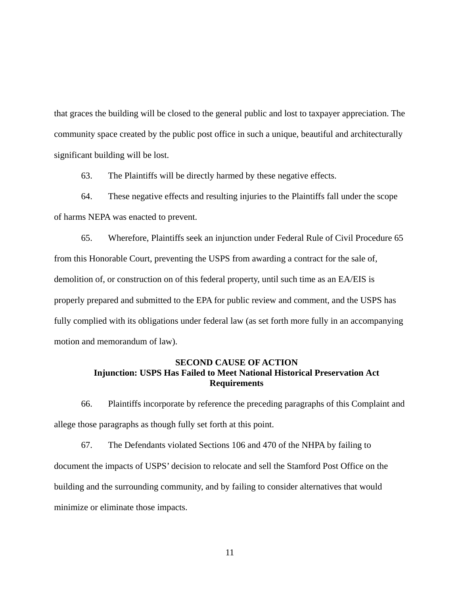that graces the building will be closed to the general public and lost to taxpayer appreciation. The community space created by the public post office in such a unique, beautiful and architecturally significant building will be lost.

63. The Plaintiffs will be directly harmed by these negative effects.

64. These negative effects and resulting injuries to the Plaintiffs fall under the scope of harms NEPA was enacted to prevent.

65. Wherefore, Plaintiffs seek an injunction under Federal Rule of Civil Procedure 65 from this Honorable Court, preventing the USPS from awarding a contract for the sale of, demolition of, or construction on of this federal property, until such time as an EA/EIS is properly prepared and submitted to the EPA for public review and comment, and the USPS has fully complied with its obligations under federal law (as set forth more fully in an accompanying motion and memorandum of law).

## **SECOND CAUSE OF ACTION Injunction: USPS Has Failed to Meet National Historical Preservation Act Requirements**

66. Plaintiffs incorporate by reference the preceding paragraphs of this Complaint and allege those paragraphs as though fully set forth at this point.

67. The Defendants violated Sections 106 and 470 of the NHPA by failing to document the impacts of USPS' decision to relocate and sell the Stamford Post Office on the building and the surrounding community, and by failing to consider alternatives that would minimize or eliminate those impacts.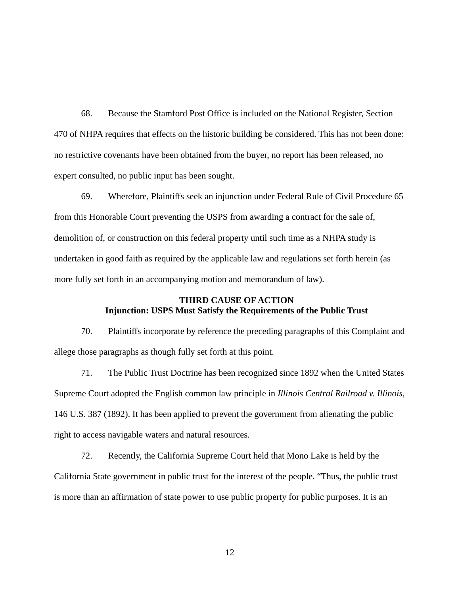68. Because the Stamford Post Office is included on the National Register, Section 470 of NHPA requires that effects on the historic building be considered. This has not been done: no restrictive covenants have been obtained from the buyer, no report has been released, no expert consulted, no public input has been sought.

69. Wherefore, Plaintiffs seek an injunction under Federal Rule of Civil Procedure 65 from this Honorable Court preventing the USPS from awarding a contract for the sale of, demolition of, or construction on this federal property until such time as a NHPA study is undertaken in good faith as required by the applicable law and regulations set forth herein (as more fully set forth in an accompanying motion and memorandum of law).

## **THIRD CAUSE OF ACTION Injunction: USPS Must Satisfy the Requirements of the Public Trust**

70. Plaintiffs incorporate by reference the preceding paragraphs of this Complaint and allege those paragraphs as though fully set forth at this point.

71. The Public Trust Doctrine has been recognized since 1892 when the United States Supreme Court adopted the English common law principle in *Illinois Central Railroad v. Illinois*, 146 U.S. 387 (1892). It has been applied to prevent the government from alienating the public right to access navigable waters and natural resources.

72. Recently, the California Supreme Court held that Mono Lake is held by the California State government in public trust for the interest of the people. "Thus, the public trust is more than an affirmation of state power to use public property for public purposes. It is an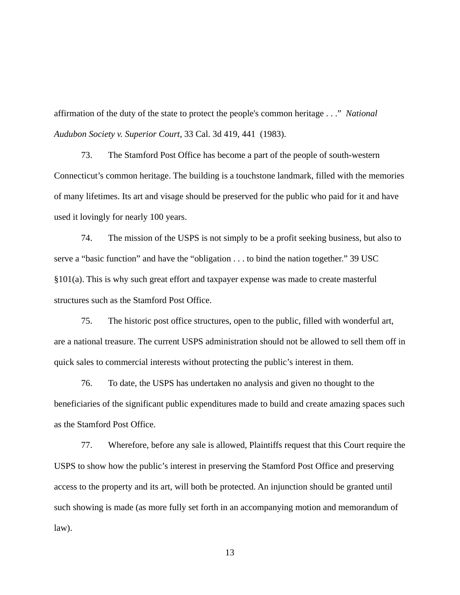affirmation of the duty of the state to protect the people's common heritage . . ." *National Audubon Society v. Superior Court*, 33 Cal. 3d 419, 441 (1983).

73. The Stamford Post Office has become a part of the people of south-western Connecticut's common heritage. The building is a touchstone landmark, filled with the memories of many lifetimes. Its art and visage should be preserved for the public who paid for it and have used it lovingly for nearly 100 years.

74. The mission of the USPS is not simply to be a profit seeking business, but also to serve a "basic function" and have the "obligation . . . to bind the nation together." 39 USC §101(a). This is why such great effort and taxpayer expense was made to create masterful structures such as the Stamford Post Office.

75. The historic post office structures, open to the public, filled with wonderful art, are a national treasure. The current USPS administration should not be allowed to sell them off in quick sales to commercial interests without protecting the public's interest in them.

76. To date, the USPS has undertaken no analysis and given no thought to the beneficiaries of the significant public expenditures made to build and create amazing spaces such as the Stamford Post Office.

77. Wherefore, before any sale is allowed, Plaintiffs request that this Court require the USPS to show how the public's interest in preserving the Stamford Post Office and preserving access to the property and its art, will both be protected. An injunction should be granted until such showing is made (as more fully set forth in an accompanying motion and memorandum of law).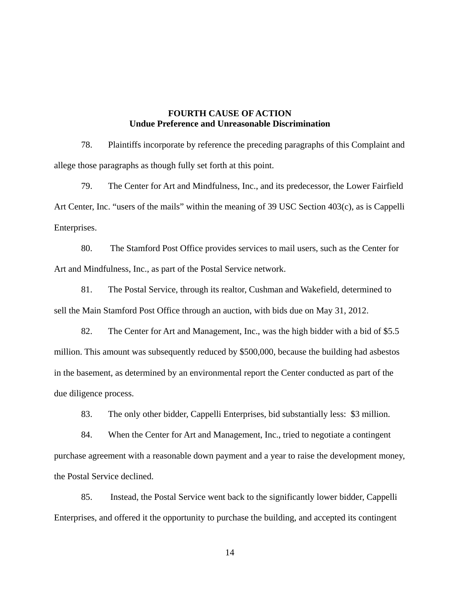### **FOURTH CAUSE OF ACTION Undue Preference and Unreasonable Discrimination**

78. Plaintiffs incorporate by reference the preceding paragraphs of this Complaint and allege those paragraphs as though fully set forth at this point.

79. The Center for Art and Mindfulness, Inc., and its predecessor, the Lower Fairfield Art Center, Inc. "users of the mails" within the meaning of 39 USC Section 403(c), as is Cappelli Enterprises.

80. The Stamford Post Office provides services to mail users, such as the Center for Art and Mindfulness, Inc., as part of the Postal Service network.

81. The Postal Service, through its realtor, Cushman and Wakefield, determined to sell the Main Stamford Post Office through an auction, with bids due on May 31, 2012.

82. The Center for Art and Management, Inc., was the high bidder with a bid of \$5.5 million. This amount was subsequently reduced by \$500,000, because the building had asbestos in the basement, as determined by an environmental report the Center conducted as part of the due diligence process.

83. The only other bidder, Cappelli Enterprises, bid substantially less: \$3 million.

84. When the Center for Art and Management, Inc., tried to negotiate a contingent purchase agreement with a reasonable down payment and a year to raise the development money, the Postal Service declined.

85. Instead, the Postal Service went back to the significantly lower bidder, Cappelli Enterprises, and offered it the opportunity to purchase the building, and accepted its contingent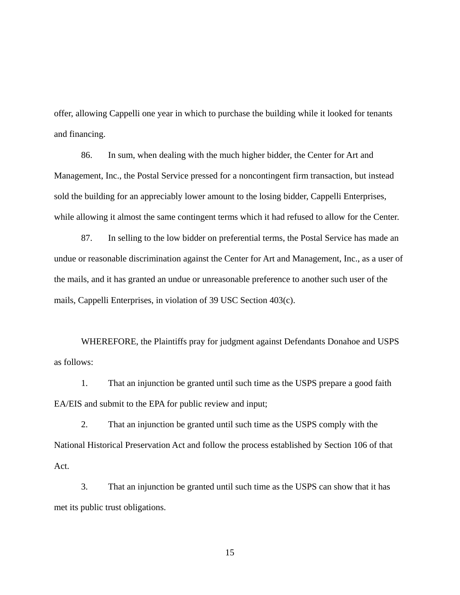offer, allowing Cappelli one year in which to purchase the building while it looked for tenants and financing.

86. In sum, when dealing with the much higher bidder, the Center for Art and Management, Inc., the Postal Service pressed for a noncontingent firm transaction, but instead sold the building for an appreciably lower amount to the losing bidder, Cappelli Enterprises, while allowing it almost the same contingent terms which it had refused to allow for the Center.

87. In selling to the low bidder on preferential terms, the Postal Service has made an undue or reasonable discrimination against the Center for Art and Management, Inc., as a user of the mails, and it has granted an undue or unreasonable preference to another such user of the mails, Cappelli Enterprises, in violation of 39 USC Section 403(c).

WHEREFORE, the Plaintiffs pray for judgment against Defendants Donahoe and USPS as follows:

1. That an injunction be granted until such time as the USPS prepare a good faith EA/EIS and submit to the EPA for public review and input;

2. That an injunction be granted until such time as the USPS comply with the National Historical Preservation Act and follow the process established by Section 106 of that Act.

3. That an injunction be granted until such time as the USPS can show that it has met its public trust obligations.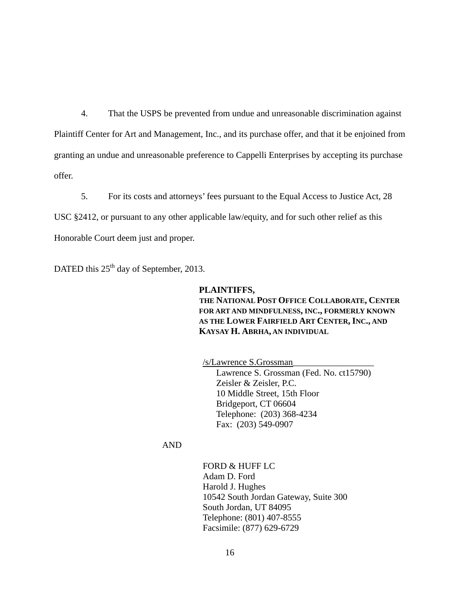4. That the USPS be prevented from undue and unreasonable discrimination against Plaintiff Center for Art and Management, Inc., and its purchase offer, and that it be enjoined from granting an undue and unreasonable preference to Cappelli Enterprises by accepting its purchase offer.

5. For its costs and attorneys' fees pursuant to the Equal Access to Justice Act, 28 USC §2412, or pursuant to any other applicable law/equity, and for such other relief as this Honorable Court deem just and proper.

DATED this 25<sup>th</sup> day of September, 2013.

**PLAINTIFFS, THE NATIONAL POST OFFICE COLLABORATE, CENTER FOR ART AND MINDFULNESS, INC., FORMERLY KNOWN AS THE LOWER FAIRFIELD ART CENTER, INC., AND KAYSAY H. ABRHA, AN INDIVIDUAL**

/s/Lawrence S.Grossman\_\_\_\_\_\_\_\_\_\_\_\_\_\_\_\_\_\_

 Lawrence S. Grossman (Fed. No. ct15790) Zeisler & Zeisler, P.C. 10 Middle Street, 15th Floor Bridgeport, CT 06604 Telephone: (203) 368-4234 Fax: (203) 549-0907

AND

FORD & HUFF LC Adam D. Ford Harold J. Hughes 10542 South Jordan Gateway, Suite 300 South Jordan, UT 84095 Telephone: (801) 407-8555 Facsimile: (877) 629-6729